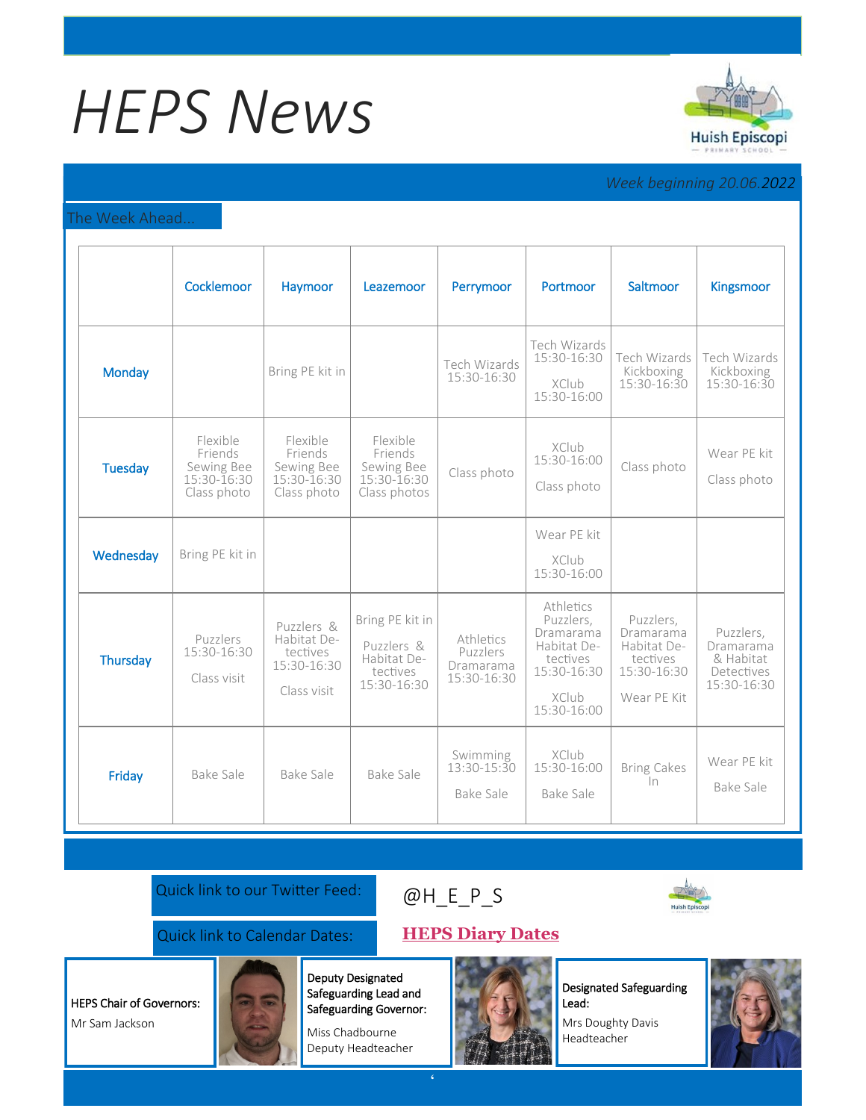# *HEPS News*



## *Week beginning 20.06.2022*

### The Week Ahead...

|                | Cocklemoor                                                          | Haymoor                                                             | Leazemoor                                                               | Perrymoor                                         | Portmoor                                                                                                     | Saltmoor                                                                        | <b>Kingsmoor</b>                                                 |
|----------------|---------------------------------------------------------------------|---------------------------------------------------------------------|-------------------------------------------------------------------------|---------------------------------------------------|--------------------------------------------------------------------------------------------------------------|---------------------------------------------------------------------------------|------------------------------------------------------------------|
| <b>Monday</b>  |                                                                     | Bring PE kit in                                                     |                                                                         | Tech Wizards<br>15:30-16:30                       | Tech Wizards<br>15:30-16:30<br><b>XClub</b><br>15:30-16:00                                                   | Tech Wizards<br>Kickboxing<br>15:30-16:30                                       | Tech Wizards<br>Kickboxing<br>15:30-16:30                        |
| <b>Tuesday</b> | Flexible<br>Friends<br>Sewing Bee<br>$15:30 - 16:30$<br>Class photo | Flexible<br>Friends<br>Sewing Bee<br>15:30-16:30<br>Class photo     | Flexible<br>Friends<br>Sewing Bee<br>15:30-16:30<br>Class photos        | Class photo                                       | <b>XClub</b><br>15:30-16:00<br>Class photo                                                                   | Class photo                                                                     | Wear PE kit<br>Class photo                                       |
| Wednesday      | Bring PE kit in                                                     |                                                                     |                                                                         |                                                   | Wear PE kit<br>XClub<br>15:30-16:00                                                                          |                                                                                 |                                                                  |
| Thursday       | Puzzlers<br>15:30-16:30<br>Class visit                              | Puzzlers &<br>Habitat De-<br>tectives<br>15:30-16:30<br>Class visit | Bring PE kit in<br>Puzzlers &<br>Habitat De-<br>tectives<br>15:30-16:30 | Athletics<br>Puzzlers<br>Dramarama<br>15:30-16:30 | Athletics<br>Puzzlers,<br>Dramarama<br>Habitat De-<br>tectives<br>15:30-16:30<br><b>XClub</b><br>15:30-16:00 | Puzzlers.<br>Dramarama<br>Habitat De-<br>tectives<br>15:30-16:30<br>Wear PE Kit | Puzzlers,<br>Dramarama<br>& Habitat<br>Detectives<br>15:30-16:30 |
| Friday         | <b>Bake Sale</b>                                                    | <b>Bake Sale</b>                                                    | Bake Sale                                                               | Swimming<br>$13:30 - 15:30$<br>Bake Sale          | XClub<br>15:30-16:00<br>Bake Sale                                                                            | <b>Bring Cakes</b><br>$\ln$                                                     | Wear PE kit<br>Bake Sale                                         |

Quick link to our Twitter Feed:

## [@H\\_E\\_](https://huishepiscopiprimary.co.uk/diary-dates/)P\_S



## Quick link to Calendar Dates: **[HEPS Diary Dates](https://huishepiscopiprimary.co.uk/diary-dates/)**

HEPS Chair of Governors: Mr Sam Jackson



Deputy Designated Safeguarding Lead and Safeguarding Governor:

Miss Chadbourne Deputy Headteacher



Designated Safeguarding Lead:

Mrs Doughty Davis Headteacher